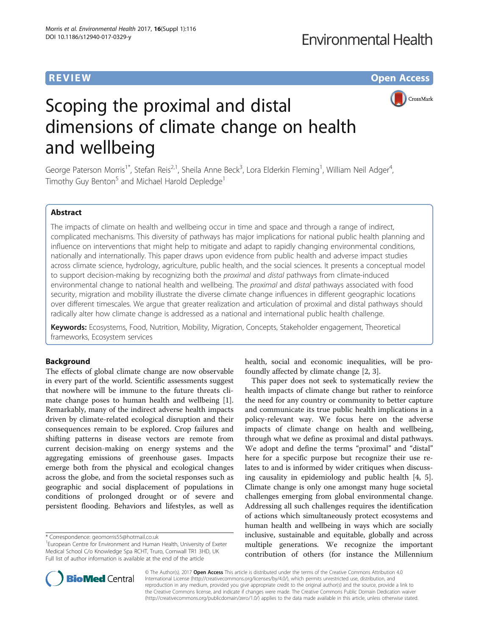**REVIEW CONSTRUCTION CONSTRUCTION CONSTRUCTS** 



# Scoping the proximal and distal dimensions of climate change on health and wellbeing

George Paterson Morris<sup>1\*</sup>, Stefan Reis<sup>2,1</sup>, Sheila Anne Beck<sup>3</sup>, Lora Elderkin Fleming<sup>1</sup>, William Neil Adger<sup>4</sup> , Timothy Guy Benton<sup>5</sup> and Michael Harold Depledge<sup>1</sup>

# Abstract

The impacts of climate on health and wellbeing occur in time and space and through a range of indirect, complicated mechanisms. This diversity of pathways has major implications for national public health planning and influence on interventions that might help to mitigate and adapt to rapidly changing environmental conditions, nationally and internationally. This paper draws upon evidence from public health and adverse impact studies across climate science, hydrology, agriculture, public health, and the social sciences. It presents a conceptual model to support decision-making by recognizing both the proximal and distal pathways from climate-induced environmental change to national health and wellbeing. The proximal and distal pathways associated with food security, migration and mobility illustrate the diverse climate change influences in different geographic locations over different timescales. We argue that greater realization and articulation of proximal and distal pathways should radically alter how climate change is addressed as a national and international public health challenge.

Keywords: Ecosystems, Food, Nutrition, Mobility, Migration, Concepts, Stakeholder engagement, Theoretical frameworks, Ecosystem services

# Background

The effects of global climate change are now observable in every part of the world. Scientific assessments suggest that nowhere will be immune to the future threats climate change poses to human health and wellbeing [\[1](#page-6-0)]. Remarkably, many of the indirect adverse health impacts driven by climate-related ecological disruption and their consequences remain to be explored. Crop failures and shifting patterns in disease vectors are remote from current decision-making on energy systems and the aggregating emissions of greenhouse gases. Impacts emerge both from the physical and ecological changes across the globe, and from the societal responses such as geographic and social displacement of populations in conditions of prolonged drought or of severe and persistent flooding. Behaviors and lifestyles, as well as

health, social and economic inequalities, will be profoundly affected by climate change [\[2](#page-6-0), [3](#page-6-0)].

This paper does not seek to systematically review the health impacts of climate change but rather to reinforce the need for any country or community to better capture and communicate its true public health implications in a policy-relevant way. We focus here on the adverse impacts of climate change on health and wellbeing, through what we define as proximal and distal pathways. We adopt and define the terms "proximal" and "distal" here for a specific purpose but recognize their use relates to and is informed by wider critiques when discussing causality in epidemiology and public health [[4](#page-6-0), [5](#page-6-0)]. Climate change is only one amongst many huge societal challenges emerging from global environmental change. Addressing all such challenges requires the identification of actions which simultaneously protect ecosystems and human health and wellbeing in ways which are socially inclusive, sustainable and equitable, globally and across multiple generations. We recognize the important contribution of others (for instance the Millennium



© The Author(s). 2017 Open Access This article is distributed under the terms of the Creative Commons Attribution 4.0 International License [\(http://creativecommons.org/licenses/by/4.0/](http://creativecommons.org/licenses/by/4.0/)), which permits unrestricted use, distribution, and reproduction in any medium, provided you give appropriate credit to the original author(s) and the source, provide a link to the Creative Commons license, and indicate if changes were made. The Creative Commons Public Domain Dedication waiver [\(http://creativecommons.org/publicdomain/zero/1.0/](http://creativecommons.org/publicdomain/zero/1.0/)) applies to the data made available in this article, unless otherwise stated.

<sup>\*</sup> Correspondence: [geomorris55@hotmail.co.uk](mailto:geomorris55@hotmail.co.uk) <sup>1</sup>

<sup>&</sup>lt;sup>1</sup> European Centre for Environment and Human Health, University of Exeter Medical School C/o Knowledge Spa RCHT, Truro, Cornwall TR1 3HD, UK Full list of author information is available at the end of the article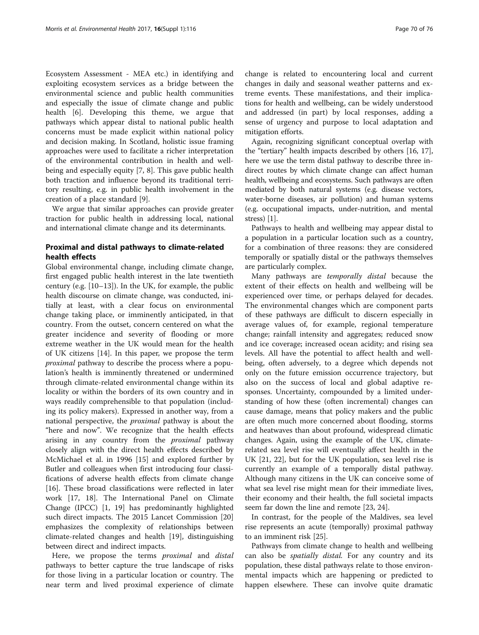Ecosystem Assessment - MEA etc.) in identifying and exploiting ecosystem services as a bridge between the environmental science and public health communities and especially the issue of climate change and public health [\[6](#page-6-0)]. Developing this theme, we argue that pathways which appear distal to national public health concerns must be made explicit within national policy and decision making. In Scotland, holistic issue framing approaches were used to facilitate a richer interpretation of the environmental contribution in health and wellbeing and especially equity [\[7](#page-6-0), [8](#page-6-0)]. This gave public health both traction and influence beyond its traditional territory resulting, e.g. in public health involvement in the creation of a place standard [\[9](#page-6-0)].

We argue that similar approaches can provide greater traction for public health in addressing local, national and international climate change and its determinants.

# Proximal and distal pathways to climate-related health effects

Global environmental change, including climate change, first engaged public health interest in the late twentieth century (e.g. [[10](#page-6-0)–[13\]](#page-6-0)). In the UK, for example, the public health discourse on climate change, was conducted, initially at least, with a clear focus on environmental change taking place, or imminently anticipated, in that country. From the outset, concern centered on what the greater incidence and severity of flooding or more extreme weather in the UK would mean for the health of UK citizens [[14\]](#page-6-0). In this paper, we propose the term proximal pathway to describe the process where a population's health is imminently threatened or undermined through climate-related environmental change within its locality or within the borders of its own country and in ways readily comprehensible to that population (including its policy makers). Expressed in another way, from a national perspective, the proximal pathway is about the "here and now". We recognize that the health effects arising in any country from the proximal pathway closely align with the direct health effects described by McMichael et al. in 1996 [[15\]](#page-6-0) and explored further by Butler and colleagues when first introducing four classifications of adverse health effects from climate change [[16\]](#page-6-0). These broad classifications were reflected in later work [\[17](#page-6-0), [18](#page-6-0)]. The International Panel on Climate Change (IPCC) [\[1, 19](#page-6-0)] has predominantly highlighted such direct impacts. The 2015 Lancet Commission [[20](#page-6-0)] emphasizes the complexity of relationships between climate-related changes and health [\[19](#page-6-0)], distinguishing between direct and indirect impacts.

Here, we propose the terms *proximal* and *distal* pathways to better capture the true landscape of risks for those living in a particular location or country. The near term and lived proximal experience of climate change is related to encountering local and current changes in daily and seasonal weather patterns and extreme events. These manifestations, and their implications for health and wellbeing, can be widely understood and addressed (in part) by local responses, adding a sense of urgency and purpose to local adaptation and mitigation efforts.

Again, recognizing significant conceptual overlap with the "tertiary" health impacts described by others [[16](#page-6-0), [17](#page-6-0)], here we use the term distal pathway to describe three indirect routes by which climate change can affect human health, wellbeing and ecosystems. Such pathways are often mediated by both natural systems (e.g. disease vectors, water-borne diseases, air pollution) and human systems (e.g. occupational impacts, under-nutrition, and mental stress) [[1](#page-6-0)].

Pathways to health and wellbeing may appear distal to a population in a particular location such as a country, for a combination of three reasons: they are considered temporally or spatially distal or the pathways themselves are particularly complex.

Many pathways are temporally distal because the extent of their effects on health and wellbeing will be experienced over time, or perhaps delayed for decades. The environmental changes which are component parts of these pathways are difficult to discern especially in average values of, for example, regional temperature change; rainfall intensity and aggregates; reduced snow and ice coverage; increased ocean acidity; and rising sea levels. All have the potential to affect health and wellbeing, often adversely, to a degree which depends not only on the future emission occurrence trajectory, but also on the success of local and global adaptive responses. Uncertainty, compounded by a limited understanding of how these (often incremental) changes can cause damage, means that policy makers and the public are often much more concerned about flooding, storms and heatwaves than about profound, widespread climatic changes. Again, using the example of the UK, climaterelated sea level rise will eventually affect health in the UK [\[21](#page-6-0), [22\]](#page-6-0), but for the UK population, sea level rise is currently an example of a temporally distal pathway. Although many citizens in the UK can conceive some of what sea level rise might mean for their immediate lives, their economy and their health, the full societal impacts seem far down the line and remote [[23](#page-6-0), [24](#page-6-0)].

In contrast, for the people of the Maldives, sea level rise represents an acute (temporally) proximal pathway to an imminent risk [[25](#page-6-0)].

Pathways from climate change to health and wellbeing can also be *spatially distal*. For any country and its population, these distal pathways relate to those environmental impacts which are happening or predicted to happen elsewhere. These can involve quite dramatic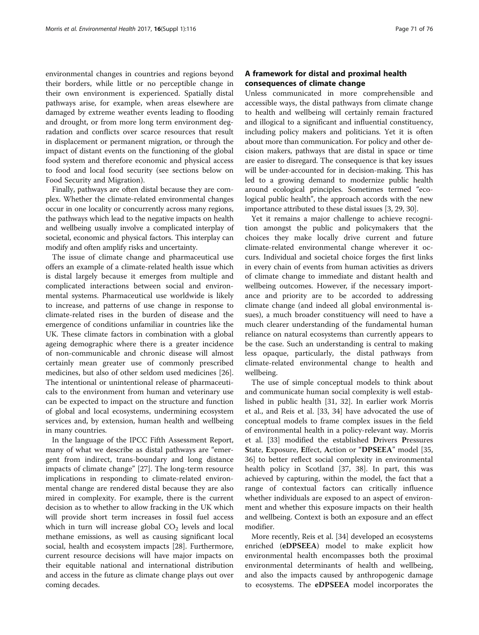environmental changes in countries and regions beyond their borders, while little or no perceptible change in their own environment is experienced. Spatially distal pathways arise, for example, when areas elsewhere are damaged by extreme weather events leading to flooding and drought, or from more long term environment degradation and conflicts over scarce resources that result in displacement or permanent migration, or through the impact of distant events on the functioning of the global food system and therefore economic and physical access to food and local food security (see sections below on Food Security and Migration).

Finally, pathways are often distal because they are complex. Whether the climate-related environmental changes occur in one locality or concurrently across many regions, the pathways which lead to the negative impacts on health and wellbeing usually involve a complicated interplay of societal, economic and physical factors. This interplay can modify and often amplify risks and uncertainty.

The issue of climate change and pharmaceutical use offers an example of a climate-related health issue which is distal largely because it emerges from multiple and complicated interactions between social and environmental systems. Pharmaceutical use worldwide is likely to increase, and patterns of use change in response to climate-related rises in the burden of disease and the emergence of conditions unfamiliar in countries like the UK. These climate factors in combination with a global ageing demographic where there is a greater incidence of non-communicable and chronic disease will almost certainly mean greater use of commonly prescribed medicines, but also of other seldom used medicines [\[26](#page-6-0)]. The intentional or unintentional release of pharmaceuticals to the environment from human and veterinary use can be expected to impact on the structure and function of global and local ecosystems, undermining ecosystem services and, by extension, human health and wellbeing in many countries.

In the language of the IPCC Fifth Assessment Report, many of what we describe as distal pathways are "emergent from indirect, trans-boundary and long distance impacts of climate change" [\[27](#page-7-0)]. The long-term resource implications in responding to climate-related environmental change are rendered distal because they are also mired in complexity. For example, there is the current decision as to whether to allow fracking in the UK which will provide short term increases in fossil fuel access which in turn will increase global  $CO<sub>2</sub>$  levels and local methane emissions, as well as causing significant local social, health and ecosystem impacts [\[28](#page-7-0)]. Furthermore, current resource decisions will have major impacts on their equitable national and international distribution and access in the future as climate change plays out over coming decades.

# A framework for distal and proximal health consequences of climate change

Unless communicated in more comprehensible and accessible ways, the distal pathways from climate change to health and wellbeing will certainly remain fractured and illogical to a significant and influential constituency, including policy makers and politicians. Yet it is often about more than communication. For policy and other decision makers, pathways that are distal in space or time are easier to disregard. The consequence is that key issues will be under-accounted for in decision-making. This has led to a growing demand to modernize public health around ecological principles. Sometimes termed "ecological public health", the approach accords with the new importance attributed to these distal issues [[3](#page-6-0), [29, 30](#page-7-0)].

Yet it remains a major challenge to achieve recognition amongst the public and policymakers that the choices they make locally drive current and future climate-related environmental change wherever it occurs. Individual and societal choice forges the first links in every chain of events from human activities as drivers of climate change to immediate and distant health and wellbeing outcomes. However, if the necessary importance and priority are to be accorded to addressing climate change (and indeed all global environmental issues), a much broader constituency will need to have a much clearer understanding of the fundamental human reliance on natural ecosystems than currently appears to be the case. Such an understanding is central to making less opaque, particularly, the distal pathways from climate-related environmental change to health and wellbeing.

The use of simple conceptual models to think about and communicate human social complexity is well established in public health [\[31, 32](#page-7-0)]. In earlier work Morris et al., and Reis et al. [[33](#page-7-0), [34](#page-7-0)] have advocated the use of conceptual models to frame complex issues in the field of environmental health in a policy-relevant way. Morris et al. [[33](#page-7-0)] modified the established Drivers Pressures State, Exposure, Effect, Action or "DPSEEA" model [[35](#page-7-0), [36\]](#page-7-0) to better reflect social complexity in environmental health policy in Scotland [\[37](#page-7-0), [38](#page-7-0)]. In part, this was achieved by capturing, within the model, the fact that a range of contextual factors can critically influence whether individuals are exposed to an aspect of environment and whether this exposure impacts on their health and wellbeing. Context is both an exposure and an effect modifier.

More recently, Reis et al. [[34](#page-7-0)] developed an ecosystems enriched (eDPSEEA) model to make explicit how environmental health encompasses both the proximal environmental determinants of health and wellbeing, and also the impacts caused by anthropogenic damage to ecosystems. The eDPSEEA model incorporates the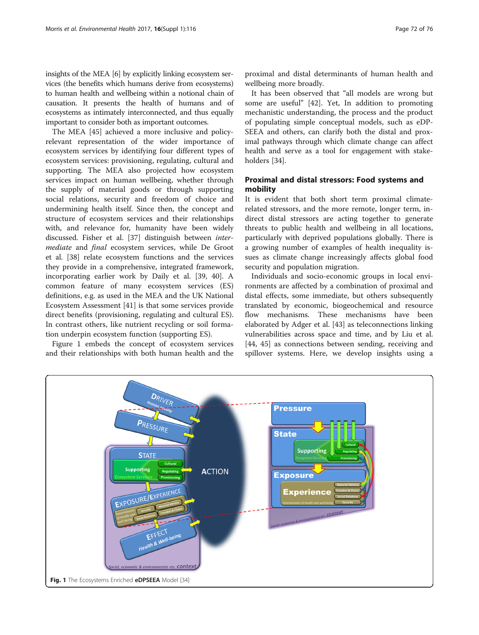insights of the MEA [\[6](#page-6-0)] by explicitly linking ecosystem services (the benefits which humans derive from ecosystems) to human health and wellbeing within a notional chain of causation. It presents the health of humans and of ecosystems as intimately interconnected, and thus equally important to consider both as important outcomes.

The MEA [[45\]](#page-7-0) achieved a more inclusive and policyrelevant representation of the wider importance of ecosystem services by identifying four different types of ecosystem services: provisioning, regulating, cultural and supporting. The MEA also projected how ecosystem services impact on human wellbeing, whether through the supply of material goods or through supporting social relations, security and freedom of choice and undermining health itself. Since then, the concept and structure of ecosystem services and their relationships with, and relevance for, humanity have been widely discussed. Fisher et al. [[37\]](#page-7-0) distinguish between intermediate and final ecosystem services, while De Groot et al. [\[38](#page-7-0)] relate ecosystem functions and the services they provide in a comprehensive, integrated framework, incorporating earlier work by Daily et al. [[39, 40\]](#page-7-0). A common feature of many ecosystem services (ES) definitions, e.g. as used in the MEA and the UK National Ecosystem Assessment [\[41](#page-7-0)] is that some services provide direct benefits (provisioning, regulating and cultural ES). In contrast others, like nutrient recycling or soil formation underpin ecosystem function (supporting ES).

Figure 1 embeds the concept of ecosystem services and their relationships with both human health and the

It has been observed that "all models are wrong but some are useful" [\[42\]](#page-7-0). Yet, In addition to promoting mechanistic understanding, the process and the product of populating simple conceptual models, such as eDP-SEEA and others, can clarify both the distal and proximal pathways through which climate change can affect health and serve as a tool for engagement with stakeholders [[34\]](#page-7-0).

# Proximal and distal stressors: Food systems and mobility

It is evident that both short term proximal climaterelated stressors, and the more remote, longer term, indirect distal stressors are acting together to generate threats to public health and wellbeing in all locations, particularly with deprived populations globally. There is a growing number of examples of health inequality issues as climate change increasingly affects global food security and population migration.

Individuals and socio-economic groups in local environments are affected by a combination of proximal and distal effects, some immediate, but others subsequently translated by economic, biogeochemical and resource flow mechanisms. These mechanisms have been elaborated by Adger et al. [\[43](#page-7-0)] as teleconnections linking vulnerabilities across space and time, and by Liu et al. [[44, 45\]](#page-7-0) as connections between sending, receiving and spillover systems. Here, we develop insights using a

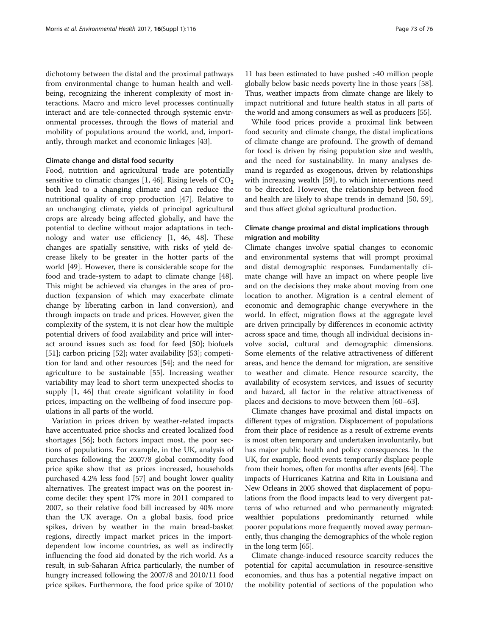dichotomy between the distal and the proximal pathways from environmental change to human health and wellbeing, recognizing the inherent complexity of most interactions. Macro and micro level processes continually interact and are tele-connected through systemic environmental processes, through the flows of material and mobility of populations around the world, and, importantly, through market and economic linkages [\[43](#page-7-0)].

# Climate change and distal food security

Food, nutrition and agricultural trade are potentially sensitive to climatic changes [[1,](#page-6-0) [46\]](#page-7-0). Rising levels of  $CO<sub>2</sub>$ both lead to a changing climate and can reduce the nutritional quality of crop production [[47\]](#page-7-0). Relative to an unchanging climate, yields of principal agricultural crops are already being affected globally, and have the potential to decline without major adaptations in technology and water use efficiency [\[1](#page-6-0), [46](#page-7-0), [48\]](#page-7-0). These changes are spatially sensitive, with risks of yield decrease likely to be greater in the hotter parts of the world [[49\]](#page-7-0). However, there is considerable scope for the food and trade-system to adapt to climate change [\[48](#page-7-0)]. This might be achieved via changes in the area of production (expansion of which may exacerbate climate change by liberating carbon in land conversion), and through impacts on trade and prices. However, given the complexity of the system, it is not clear how the multiple potential drivers of food availability and price will interact around issues such as: food for feed [[50\]](#page-7-0); biofuels [[51\]](#page-7-0); carbon pricing [\[52](#page-7-0)]; water availability [[53\]](#page-7-0); competition for land and other resources [\[54\]](#page-7-0); and the need for agriculture to be sustainable [[55](#page-7-0)]. Increasing weather variability may lead to short term unexpected shocks to supply [\[1](#page-6-0), [46](#page-7-0)] that create significant volatility in food prices, impacting on the wellbeing of food insecure populations in all parts of the world.

Variation in prices driven by weather-related impacts have accentuated price shocks and created localized food shortages [\[56](#page-7-0)]; both factors impact most, the poor sections of populations. For example, in the UK, analysis of purchases following the 2007/8 global commodity food price spike show that as prices increased, households purchased 4.2% less food [\[57](#page-7-0)] and bought lower quality alternatives. The greatest impact was on the poorest income decile: they spent 17% more in 2011 compared to 2007, so their relative food bill increased by 40% more than the UK average. On a global basis, food price spikes, driven by weather in the main bread-basket regions, directly impact market prices in the importdependent low income countries, as well as indirectly influencing the food aid donated by the rich world. As a result, in sub-Saharan Africa particularly, the number of hungry increased following the 2007/8 and 2010/11 food price spikes. Furthermore, the food price spike of 2010/

11 has been estimated to have pushed >40 million people globally below basic needs poverty line in those years [\[58](#page-7-0)]. Thus, weather impacts from climate change are likely to impact nutritional and future health status in all parts of the world and among consumers as well as producers [\[55\]](#page-7-0).

While food prices provide a proximal link between food security and climate change, the distal implications of climate change are profound. The growth of demand for food is driven by rising population size and wealth, and the need for sustainability. In many analyses demand is regarded as exogenous, driven by relationships with increasing wealth [[59\]](#page-7-0), to which interventions need to be directed. However, the relationship between food and health are likely to shape trends in demand [\[50](#page-7-0), [59](#page-7-0)], and thus affect global agricultural production.

# Climate change proximal and distal implications through migration and mobility

Climate changes involve spatial changes to economic and environmental systems that will prompt proximal and distal demographic responses. Fundamentally climate change will have an impact on where people live and on the decisions they make about moving from one location to another. Migration is a central element of economic and demographic change everywhere in the world. In effect, migration flows at the aggregate level are driven principally by differences in economic activity across space and time, though all individual decisions involve social, cultural and demographic dimensions. Some elements of the relative attractiveness of different areas, and hence the demand for migration, are sensitive to weather and climate. Hence resource scarcity, the availability of ecosystem services, and issues of security and hazard, all factor in the relative attractiveness of places and decisions to move between them [[60](#page-7-0)–[63](#page-7-0)].

Climate changes have proximal and distal impacts on different types of migration. Displacement of populations from their place of residence as a result of extreme events is most often temporary and undertaken involuntarily, but has major public health and policy consequences. In the UK, for example, flood events temporarily displace people from their homes, often for months after events [[64](#page-7-0)]. The impacts of Hurricanes Katrina and Rita in Louisiana and New Orleans in 2005 showed that displacement of populations from the flood impacts lead to very divergent patterns of who returned and who permanently migrated: wealthier populations predominantly returned while poorer populations more frequently moved away permanently, thus changing the demographics of the whole region in the long term [\[65\]](#page-7-0).

Climate change-induced resource scarcity reduces the potential for capital accumulation in resource-sensitive economies, and thus has a potential negative impact on the mobility potential of sections of the population who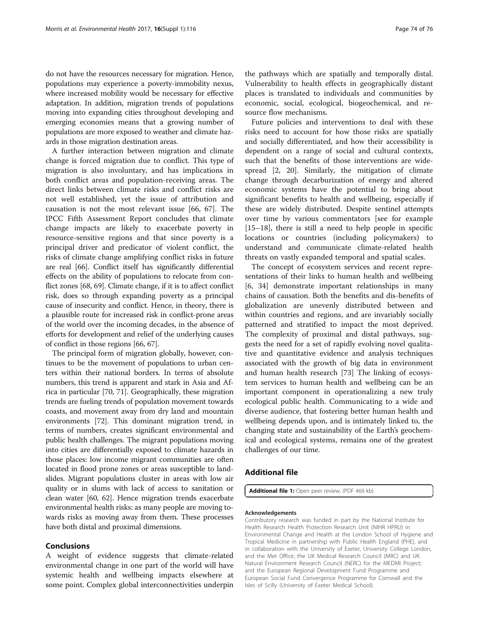<span id="page-5-0"></span>do not have the resources necessary for migration. Hence, populations may experience a poverty-immobility nexus, where increased mobility would be necessary for effective adaptation. In addition, migration trends of populations moving into expanding cities throughout developing and emerging economies means that a growing number of populations are more exposed to weather and climate hazards in those migration destination areas.

A further interaction between migration and climate change is forced migration due to conflict. This type of migration is also involuntary, and has implications in both conflict areas and population-receiving areas. The direct links between climate risks and conflict risks are not well established, yet the issue of attribution and causation is not the most relevant issue [[66, 67](#page-7-0)]. The IPCC Fifth Assessment Report concludes that climate change impacts are likely to exacerbate poverty in resource-sensitive regions and that since poverty is a principal driver and predicator of violent conflict, the risks of climate change amplifying conflict risks in future are real [\[66](#page-7-0)]. Conflict itself has significantly differential effects on the ability of populations to relocate from conflict zones [[68](#page-7-0), [69\]](#page-7-0). Climate change, if it is to affect conflict risk, does so through expanding poverty as a principal cause of insecurity and conflict. Hence, in theory, there is a plausible route for increased risk in conflict-prone areas of the world over the incoming decades, in the absence of efforts for development and relief of the underlying causes of conflict in those regions [[66](#page-7-0), [67\]](#page-7-0).

The principal form of migration globally, however, continues to be the movement of populations to urban centers within their national borders. In terms of absolute numbers, this trend is apparent and stark in Asia and Africa in particular [\[70, 71\]](#page-7-0). Geographically, these migration trends are fueling trends of population movement towards coasts, and movement away from dry land and mountain environments [[72](#page-7-0)]. This dominant migration trend, in terms of numbers, creates significant environmental and public health challenges. The migrant populations moving into cities are differentially exposed to climate hazards in those places: low income migrant communities are often located in flood prone zones or areas susceptible to landslides. Migrant populations cluster in areas with low air quality or in slums with lack of access to sanitation or clean water [[60, 62](#page-7-0)]. Hence migration trends exacerbate environmental health risks: as many people are moving towards risks as moving away from them. These processes have both distal and proximal dimensions.

# Conclusions

A weight of evidence suggests that climate-related environmental change in one part of the world will have systemic health and wellbeing impacts elsewhere at some point. Complex global interconnectivities underpin the pathways which are spatially and temporally distal. Vulnerability to health effects in geographically distant places is translated to individuals and communities by economic, social, ecological, biogeochemical, and resource flow mechanisms.

Future policies and interventions to deal with these risks need to account for how those risks are spatially and socially differentiated, and how their accessibility is dependent on a range of social and cultural contexts, such that the benefits of those interventions are widespread [[2, 20](#page-6-0)]. Similarly, the mitigation of climate change through decarburization of energy and altered economic systems have the potential to bring about significant benefits to health and wellbeing, especially if these are widely distributed. Despite sentinel attempts over time by various commentators [see for example [15–18], there is still a need to help people in specific locations or countries (including policymakers) to understand and communicate climate-related health threats on vastly expanded temporal and spatial scales.

The concept of ecosystem services and recent representations of their links to human health and wellbeing [[6,](#page-6-0) [34\]](#page-7-0) demonstrate important relationships in many chains of causation. Both the benefits and dis-benefits of globalization are unevenly distributed between and within countries and regions, and are invariably socially patterned and stratified to impact the most deprived. The complexity of proximal and distal pathways, suggests the need for a set of rapidly evolving novel qualitative and quantitative evidence and analysis techniques associated with the growth of big data in environment and human health research [\[73](#page-7-0)] The linking of ecosystem services to human health and wellbeing can be an important component in operationalizing a new truly ecological public health. Communicating to a wide and diverse audience, that fostering better human health and wellbeing depends upon, and is intimately linked to, the changing state and sustainability of the Earth's geochemical and ecological systems, remains one of the greatest challenges of our time.

# Additional file

[Additional file 1:](dx.doi.org/10.1186/s12940-017-0329-y) Open peer review. (PDF 469 kb)

#### Acknowledgements

Contributory research was funded in part by the National Institute for Health Research Health Protection Research Unit (NIHR HPRU) in Environmental Change and Health at the London School of Hygiene and Tropical Medicine in partnership with Public Health England (PHE), and in collaboration with the University of Exeter, University College London, and the Met Office; the UK Medical Research Council (MRC) and UK Natural Environment Research Council (NERC) for the MEDMI Project; and the European Regional Development Fund Programme and European Social Fund Convergence Programme for Cornwall and the Isles of Scilly (University of Exeter Medical School).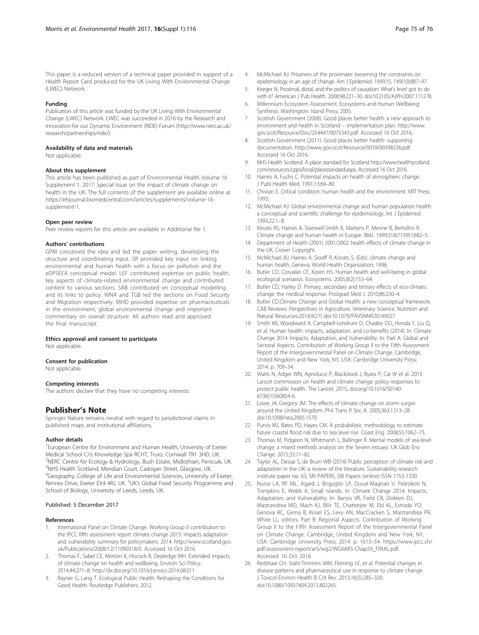<span id="page-6-0"></span>This paper is a reduced version of a technical paper provided in support of a Health Report Card produced for the UK Living With Environmental Change (LWEC) Network.

# Funding

Publication of this article was funded by the UK Living With Environmental Change (LWEC) Network. LWEC was succeeded in 2016 by the Research and Innovation for our Dynamic Environment (RIDE) Forum [\(http://www.nerc.ac.uk/](http://www.nerc.ac.uk/research/partnerships/ride/) [research/partnerships/ride/](http://www.nerc.ac.uk/research/partnerships/ride/)).

# Availability of data and materials

Not applicable.

#### About this supplement

This article has been published as part of Environmental Health Volume 16 Supplement 1, 2017: Special Issue on the impact of climate change on health in the UK. The full contents of the supplement are available online at [https://ehjournal.biomedcentral.com/articles/supplements/volume-16](https://ehjournal.biomedcentral.com/articles/supplements/volume-16-supplement-1) [supplement-1](https://ehjournal.biomedcentral.com/articles/supplements/volume-16-supplement-1).

### Open peer review

Peer review reports for this article are available in Additional file [1](#page-5-0).

#### Authors' contributions

GPM conceived the idea and led the paper writing, developing the structure and coordinating input. SR provided key input on linking environmental and human health with a focus on pollution and the eDPSEEA conceptual model. LEF contributed expertise on public health, key aspects of climate-related environmental change and contributed content to various sections. SAB contributed on conceptual modelling and its links to policy. WNA and TGB led the sections on Food Security and Migration respectively. MHD provided expertise on pharmaceuticals in the environment, global environmental change and important commentary on overall structure. All authors read and approved the final manuscript.

#### Ethics approval and consent to participate

Not applicable.

#### Consent for publication

Not applicable.

### Competing interests

The authors declare that they have no competing interests.

#### Publisher's Note

Springer Nature remains neutral with regard to jurisdictional claims in published maps and institutional affiliations.

#### Author details

<sup>1</sup> European Centre for Environment and Human Health, University of Exeter Medical School C/o Knowledge Spa RCHT, Truro, Cornwall TR1 3HD, UK. 2 NERC Centre for Ecology & Hydrology, Bush Estate, Midlothian, Penicuik, UK. 3 NHS Health Scotland, Meridian Court, Cadogan Street, Glasgow, UK. 4 Geography, College of Life and Environmental Sciences, University of Exeter, Rennes Drive, Exeter EX4 4RJ, UK. <sup>5</sup>UK's Global Food Security Programme and School of Biology, University of Leeds, Leeds, UK.

#### Published: 5 December 2017

#### References

- 1. International Panel on Climate Change. Working Group II contribution to the IPCC fifth assessment report climate change 2013: impacts adaptation and vulnerability summary for policymakers. 2014. [http://www.scotland.gov.](http://www.scotland.gov.uk/Publications/2008/12/11090318/0) [uk/Publications/2008/12/11090318/0.](http://www.scotland.gov.uk/Publications/2008/12/11090318/0) Accessed 16 Oct 2016.
- 2. Thomas F, Sabel CE, Morton K, Hiscock R, Depledge MH. Extended impacts of climate change on health and wellbeing. Environ Sci Policy. 2014;44:271–8.<http://dx.doi.org/10.1016/j.envsci.2014.08.011>
- 3. Rayner G, Lang T. Ecological Public Health: Reshaping the Conditions for Good Health. Routledge Publishers; 2012.
- 4. McMichael AJ. Prisoners of the proximate: loosening the constraints on epidemiology in an age of change. Am J Epidemiol. 1999;15, 149(10):887–97.
- 5. Krieger N. Proximal, distal, and the politics of causation: What's level got to do with it? American J Pub Health. 2008;98:221–30. doi[:10.2105/AJPH.2007.111278](http://dx.doi.org/10.2105/AJPH.2007.111278).
- 6. Millennium Ecosystem Assessment. Ecosystems and Human Wellbeing: Synthesis. Washington: Island Press; 2005.
- 7. Scottish Government (2008). Good places better health: a new approach to environment and health in Scotland – implementation plan. [http://www.](http://www.gov.scot/Resource/Doc/254447/0075343.pdf) [gov.scot/Resource/Doc/254447/0075343.pdf](http://www.gov.scot/Resource/Doc/254447/0075343.pdf). Accessed 16 Oct 2016.
- 8. Scottish Government (2011). Good places better health- supporting documentation. [http://www.gov.scot/Resource/0039/00398236.pdf.](http://www.gov.scot/Resource/0039/00398236.pdf) Accessed 16 Oct 2016.
- 9. NHS Health Scotland. A place standard for Scotland [http://www.healthscotland.](http://www.healthscotland.com/resources/cpps/local/placestandard.aspx) [com/resources/cpps/local/placestandard.aspx.](http://www.healthscotland.com/resources/cpps/local/placestandard.aspx) Accessed 16 Oct 2016.
- 10. Haines A, Fuchs C. Potential impacts on health of atmospheric change. J Publ Health Med. 1991;13:69–80.
- 11. Chivian E. Critical condition: human health and the environment. MIT Press. 1993;
- 12. McMichael AJ. Global environmental change and human population health: a conceptual and scientific challenge for epidemiology. Int J Epidemiol. 1993;22:1–8.
- 13. Kovats RS, Haines A, Stanwell-Smith R, Martens P, Menne B, Bertollini R. Climate change and human health in Europe. BMJ. 1999;318(7199):1682–5.
- 14. Department of Health (2001) 2001/2002 health effects of climate change in the UK, Crown Copyright.
- 15. McMichael AJ, Haines A, Slooff R, Kovats S. (Eds): climate change and human health. Geneva: World Health Organization; 1996.
- 16. Butler CD, Corvalán CF, Koren HS. Human health and well-being in global ecological scenarios. Ecosystems. 2005;8(2):153–64.
- 17. Butler CD, Harley D. Primary, secondary and tertiary effects of eco-climatic change: the medical response. Postgrad Med J. 2010;86:230–4.
- 18. Butler CD.Climate Change and Global Health: a new conceptual framework. CAB Reviews: Perspectives in Agriculture, Veterinary Science, Nutrition and Natural Resources.2014;9(27) doi:[10.1079/PAVSNNR20149027](http://dx.doi.org/10.1079/PAVSNNR20149027)
- 19. Smith KR, Woodward A, Campbell-Lendrum D, Chadee DD, Honda Y, Liu Q, et al. Human health: impacts, adaptation, and co-benefits (2014). In: Climate Change 2014: Impacts, Adaptation, and Vulnerability. In: Part A: Global and Sectoral Aspects. Contribution of Working Group II to the Fifth Assessment Report of the Intergovernmental Panel on Climate Change. Cambridge, United Kingdom and New York, NY, USA: Cambridge University Press; 2014. p. 709–54.
- 20. Watts N, Adger WN, Agnolucci P, Blackstock J, Byass P, Cai W et al. 2015 Lancet commission on health and climate change: policy responses to protect public health. The Lancet. 2015; doi.org/10.1016/S0140- 6736(15)60854-6.
- 21. Lowe JA, Gregory JM. The effects of climate change on storm surges around the United Kingdom. Phil Trans R Soc A. 2005;363:1313–28. doi[:10.1098/rsta.2005.1570.](http://dx.doi.org/10.1098/rsta.2005.1570)
- 22. Purvis MJ, Bates PD, Hayes CM. A probabilistic methodology to estimate future coastal flood risk due to sea level rise. Coast Eng. 2008;55:1062–73.
- 23. Thomas M, Pidgeon N, Whitmarsh L, Ballinger R. Mental models of sea-level change: a mixed methods analysis on the Severn estuary. UK Glob Env Change. 2015;33:71–82.
- 24. Taylor AL, Dessai S, de Bruin WB (2014) Public perception of climate risk and adaptation in the UK: a review of the literature. Sustainability research institute paper no. 63, SRI PAPERS, SRI Papers (online) ISSN 1753-1330.
- 25. Nurse LA, RF ML, Agard J, Briguglio LP, Duvat-Magnan V, Pelesikoti N, Tompkins E, Webb A. Small islands. In: Climate Change 2014: Impacts, Adaptation, and Vulnerability. In: Barros VR, Field CB, Dokken DJ, Mastrandrea MD, Mach KJ, Bilir TE, Chatterjee M, Ebi KL, Estrada YO, Genova RC, Girma B, Kissel ES, Levy AN, MacCracken S, Mastrandrea PR, White LL, editors. Part B: Regional Aspects. Contribution of Working Group II to the Fifth Assessment Report of the Intergovernmental Panel on Climate Change. Cambridge, United Kingdom and New York, NY, USA: Cambridge University Press; 2014. p. 1613–54. [https://www.ipcc.ch/](https://www.ipcc.ch/pdf/assessment-report/ar5/wg2/WGIIAR5-Chap29_FINAL.pdf) [pdf/assessment-report/ar5/wg2/WGIIAR5-Chap29\\_FINAL.pdf](https://www.ipcc.ch/pdf/assessment-report/ar5/wg2/WGIIAR5-Chap29_FINAL.pdf). Accessed 16 Oct 2016.
- 26. Redshaw CH, Stahl-Timmins WM, Fleming LE, et al. Potential changes in disease patterns and pharmaceutical use in response to climate change. J Toxicol Environ Health B Crit Rev. 2013;16(5):285–320. doi[:10.1080/10937404.2013.802265.](http://dx.doi.org/10.1080/10937404.2013.802265)